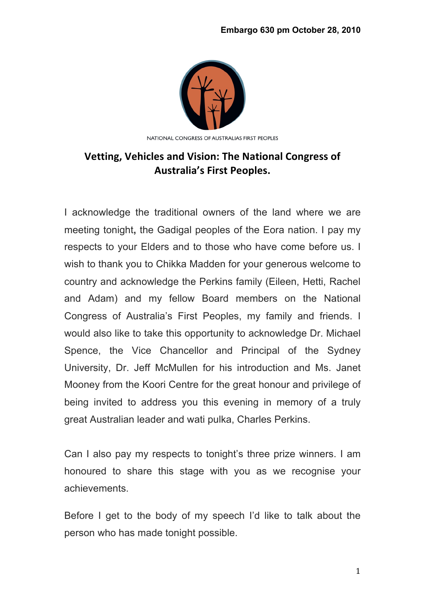

## **Vetting, Vehicles and Vision: The National Congress of Australia's First Peoples.**

I acknowledge the traditional owners of the land where we are meeting tonight**,** the Gadigal peoples of the Eora nation. I pay my respects to your Elders and to those who have come before us. I wish to thank you to Chikka Madden for your generous welcome to country and acknowledge the Perkins family (Eileen, Hetti, Rachel and Adam) and my fellow Board members on the National Congress of Australia's First Peoples, my family and friends. I would also like to take this opportunity to acknowledge Dr. Michael Spence, the Vice Chancellor and Principal of the Sydney University, Dr. Jeff McMullen for his introduction and Ms. Janet Mooney from the Koori Centre for the great honour and privilege of being invited to address you this evening in memory of a truly great Australian leader and wati pulka, Charles Perkins.

Can I also pay my respects to tonight's three prize winners. I am honoured to share this stage with you as we recognise your achievements.

Before I get to the body of my speech I'd like to talk about the person who has made tonight possible.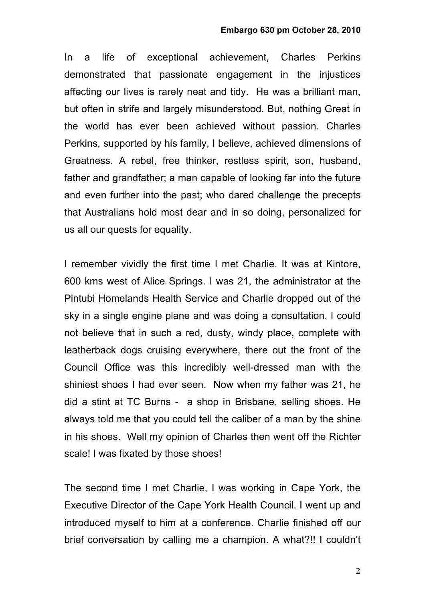In a life of exceptional achievement, Charles Perkins demonstrated that passionate engagement in the injustices affecting our lives is rarely neat and tidy. He was a brilliant man, but often in strife and largely misunderstood. But, nothing Great in the world has ever been achieved without passion. Charles Perkins, supported by his family, I believe, achieved dimensions of Greatness. A rebel, free thinker, restless spirit, son, husband, father and grandfather; a man capable of looking far into the future and even further into the past; who dared challenge the precepts that Australians hold most dear and in so doing, personalized for us all our quests for equality.

I remember vividly the first time I met Charlie. It was at Kintore, 600 kms west of Alice Springs. I was 21, the administrator at the Pintubi Homelands Health Service and Charlie dropped out of the sky in a single engine plane and was doing a consultation. I could not believe that in such a red, dusty, windy place, complete with leatherback dogs cruising everywhere, there out the front of the Council Office was this incredibly well-dressed man with the shiniest shoes I had ever seen. Now when my father was 21, he did a stint at TC Burns - a shop in Brisbane, selling shoes. He always told me that you could tell the caliber of a man by the shine in his shoes. Well my opinion of Charles then went off the Richter scale! I was fixated by those shoes!

The second time I met Charlie, I was working in Cape York, the Executive Director of the Cape York Health Council. I went up and introduced myself to him at a conference. Charlie finished off our brief conversation by calling me a champion. A what?!! I couldn't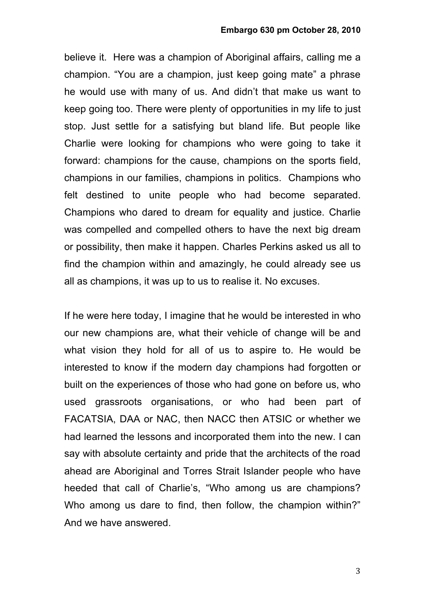believe it. Here was a champion of Aboriginal affairs, calling me a champion. "You are a champion, just keep going mate" a phrase he would use with many of us. And didn't that make us want to keep going too. There were plenty of opportunities in my life to just stop. Just settle for a satisfying but bland life. But people like Charlie were looking for champions who were going to take it forward: champions for the cause, champions on the sports field, champions in our families, champions in politics. Champions who felt destined to unite people who had become separated. Champions who dared to dream for equality and justice. Charlie was compelled and compelled others to have the next big dream or possibility, then make it happen. Charles Perkins asked us all to find the champion within and amazingly, he could already see us all as champions, it was up to us to realise it. No excuses.

If he were here today, I imagine that he would be interested in who our new champions are, what their vehicle of change will be and what vision they hold for all of us to aspire to. He would be interested to know if the modern day champions had forgotten or built on the experiences of those who had gone on before us, who used grassroots organisations, or who had been part of FACATSIA, DAA or NAC, then NACC then ATSIC or whether we had learned the lessons and incorporated them into the new. I can say with absolute certainty and pride that the architects of the road ahead are Aboriginal and Torres Strait Islander people who have heeded that call of Charlie's, "Who among us are champions? Who among us dare to find, then follow, the champion within?" And we have answered.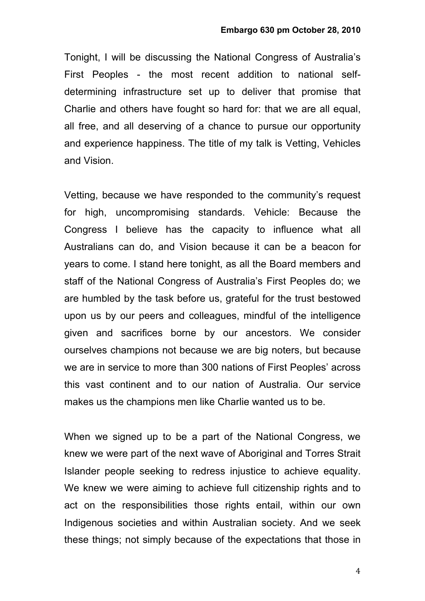Tonight, I will be discussing the National Congress of Australia's First Peoples - the most recent addition to national selfdetermining infrastructure set up to deliver that promise that Charlie and others have fought so hard for: that we are all equal, all free, and all deserving of a chance to pursue our opportunity and experience happiness. The title of my talk is Vetting, Vehicles and Vision.

Vetting, because we have responded to the community's request for high, uncompromising standards. Vehicle: Because the Congress I believe has the capacity to influence what all Australians can do, and Vision because it can be a beacon for years to come. I stand here tonight, as all the Board members and staff of the National Congress of Australia's First Peoples do; we are humbled by the task before us, grateful for the trust bestowed upon us by our peers and colleagues, mindful of the intelligence given and sacrifices borne by our ancestors. We consider ourselves champions not because we are big noters, but because we are in service to more than 300 nations of First Peoples' across this vast continent and to our nation of Australia. Our service makes us the champions men like Charlie wanted us to be.

When we signed up to be a part of the National Congress, we knew we were part of the next wave of Aboriginal and Torres Strait Islander people seeking to redress injustice to achieve equality. We knew we were aiming to achieve full citizenship rights and to act on the responsibilities those rights entail, within our own Indigenous societies and within Australian society. And we seek these things; not simply because of the expectations that those in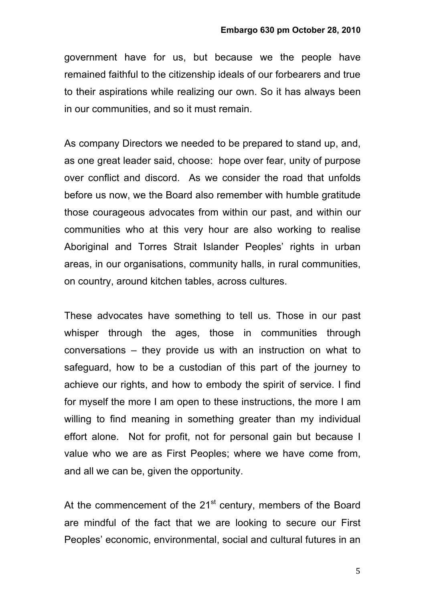government have for us, but because we the people have remained faithful to the citizenship ideals of our forbearers and true to their aspirations while realizing our own. So it has always been in our communities, and so it must remain.

As company Directors we needed to be prepared to stand up, and, as one great leader said, choose: hope over fear, unity of purpose over conflict and discord. As we consider the road that unfolds before us now, we the Board also remember with humble gratitude those courageous advocates from within our past, and within our communities who at this very hour are also working to realise Aboriginal and Torres Strait Islander Peoples' rights in urban areas, in our organisations, community halls, in rural communities, on country, around kitchen tables, across cultures.

These advocates have something to tell us. Those in our past whisper through the ages, those in communities through conversations – they provide us with an instruction on what to safeguard, how to be a custodian of this part of the journey to achieve our rights, and how to embody the spirit of service. I find for myself the more I am open to these instructions, the more I am willing to find meaning in something greater than my individual effort alone. Not for profit, not for personal gain but because I value who we are as First Peoples; where we have come from, and all we can be, given the opportunity.

At the commencement of the  $21<sup>st</sup>$  century, members of the Board are mindful of the fact that we are looking to secure our First Peoples' economic, environmental, social and cultural futures in an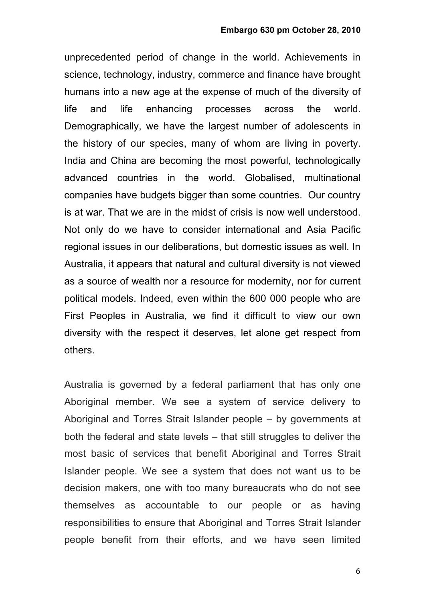unprecedented period of change in the world. Achievements in science, technology, industry, commerce and finance have brought humans into a new age at the expense of much of the diversity of life and life enhancing processes across the world. Demographically, we have the largest number of adolescents in the history of our species, many of whom are living in poverty. India and China are becoming the most powerful, technologically advanced countries in the world. Globalised, multinational companies have budgets bigger than some countries. Our country is at war. That we are in the midst of crisis is now well understood. Not only do we have to consider international and Asia Pacific regional issues in our deliberations, but domestic issues as well. In Australia, it appears that natural and cultural diversity is not viewed as a source of wealth nor a resource for modernity, nor for current political models. Indeed, even within the 600 000 people who are First Peoples in Australia, we find it difficult to view our own diversity with the respect it deserves, let alone get respect from others.

Australia is governed by a federal parliament that has only one Aboriginal member. We see a system of service delivery to Aboriginal and Torres Strait Islander people – by governments at both the federal and state levels – that still struggles to deliver the most basic of services that benefit Aboriginal and Torres Strait Islander people. We see a system that does not want us to be decision makers, one with too many bureaucrats who do not see themselves as accountable to our people or as having responsibilities to ensure that Aboriginal and Torres Strait Islander people benefit from their efforts, and we have seen limited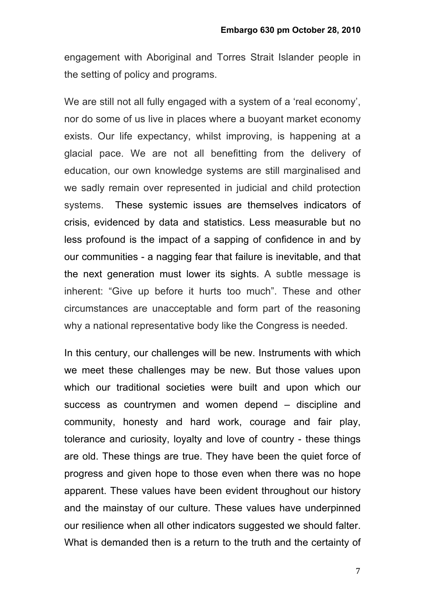engagement with Aboriginal and Torres Strait Islander people in the setting of policy and programs.

We are still not all fully engaged with a system of a 'real economy', nor do some of us live in places where a buoyant market economy exists. Our life expectancy, whilst improving, is happening at a glacial pace. We are not all benefitting from the delivery of education, our own knowledge systems are still marginalised and we sadly remain over represented in judicial and child protection systems. These systemic issues are themselves indicators of crisis, evidenced by data and statistics. Less measurable but no less profound is the impact of a sapping of confidence in and by our communities - a nagging fear that failure is inevitable, and that the next generation must lower its sights. A subtle message is inherent: "Give up before it hurts too much". These and other circumstances are unacceptable and form part of the reasoning why a national representative body like the Congress is needed.

In this century, our challenges will be new. Instruments with which we meet these challenges may be new. But those values upon which our traditional societies were built and upon which our success as countrymen and women depend – discipline and community, honesty and hard work, courage and fair play, tolerance and curiosity, loyalty and love of country - these things are old. These things are true. They have been the quiet force of progress and given hope to those even when there was no hope apparent. These values have been evident throughout our history and the mainstay of our culture. These values have underpinned our resilience when all other indicators suggested we should falter. What is demanded then is a return to the truth and the certainty of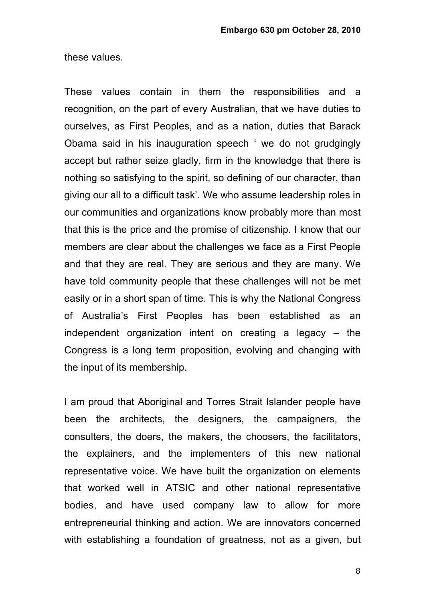these values.

These values contain in them the responsibilities and a recognition, on the part of every Australian, that we have duties to ourselves, as First Peoples, and as a nation, duties that Barack Obama said in his inauguration speech ' we do not grudgingly accept but rather seize gladly, firm in the knowledge that there is nothing so satisfying to the spirit, so defining of our character, than giving our all to a difficult task'. We who assume leadership roles in our communities and organizations know probably more than most that this is the price and the promise of citizenship. I know that our members are clear about the challenges we face as a First People and that they are real. They are serious and they are many. We have told community people that these challenges will not be met easily or in a short span of time. This is why the National Congress of Australia's First Peoples has been established as an independent organization intent on creating a legacy – the Congress is a long term proposition, evolving and changing with the input of its membership.

I am proud that Aboriginal and Torres Strait Islander people have been the architects, the designers, the campaigners, the consulters, the doers, the makers, the choosers, the facilitators, the explainers, and the implementers of this new national representative voice. We have built the organization on elements that worked well in ATSIC and other national representative bodies, and have used company law to allow for more entrepreneurial thinking and action. We are innovators concerned with establishing a foundation of greatness, not as a given, but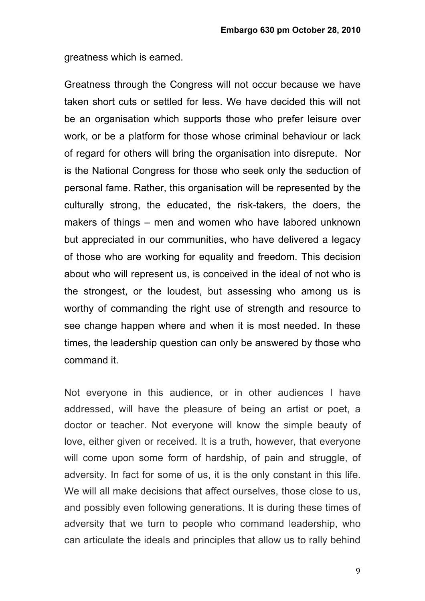greatness which is earned.

Greatness through the Congress will not occur because we have taken short cuts or settled for less. We have decided this will not be an organisation which supports those who prefer leisure over work, or be a platform for those whose criminal behaviour or lack of regard for others will bring the organisation into disrepute. Nor is the National Congress for those who seek only the seduction of personal fame. Rather, this organisation will be represented by the culturally strong, the educated, the risk-takers, the doers, the makers of things – men and women who have labored unknown but appreciated in our communities, who have delivered a legacy of those who are working for equality and freedom. This decision about who will represent us, is conceived in the ideal of not who is the strongest, or the loudest, but assessing who among us is worthy of commanding the right use of strength and resource to see change happen where and when it is most needed. In these times, the leadership question can only be answered by those who command it.

Not everyone in this audience, or in other audiences I have addressed, will have the pleasure of being an artist or poet, a doctor or teacher. Not everyone will know the simple beauty of love, either given or received. It is a truth, however, that everyone will come upon some form of hardship, of pain and struggle, of adversity. In fact for some of us, it is the only constant in this life. We will all make decisions that affect ourselves, those close to us, and possibly even following generations. It is during these times of adversity that we turn to people who command leadership, who can articulate the ideals and principles that allow us to rally behind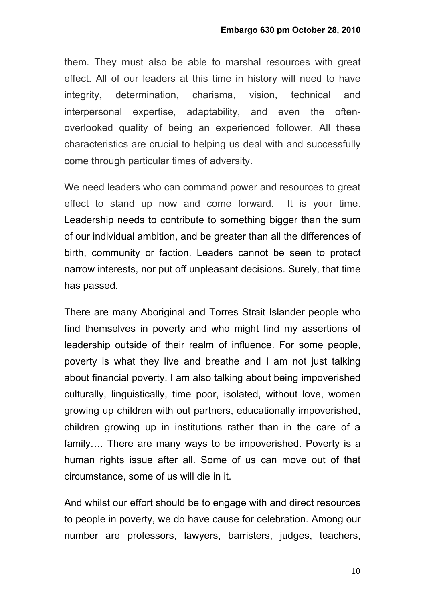them. They must also be able to marshal resources with great effect. All of our leaders at this time in history will need to have integrity, determination, charisma, vision, technical and interpersonal expertise, adaptability, and even the oftenoverlooked quality of being an experienced follower. All these characteristics are crucial to helping us deal with and successfully come through particular times of adversity.

We need leaders who can command power and resources to great effect to stand up now and come forward. It is your time. Leadership needs to contribute to something bigger than the sum of our individual ambition, and be greater than all the differences of birth, community or faction. Leaders cannot be seen to protect narrow interests, nor put off unpleasant decisions. Surely, that time has passed.

There are many Aboriginal and Torres Strait Islander people who find themselves in poverty and who might find my assertions of leadership outside of their realm of influence. For some people, poverty is what they live and breathe and I am not just talking about financial poverty. I am also talking about being impoverished culturally, linguistically, time poor, isolated, without love, women growing up children with out partners, educationally impoverished, children growing up in institutions rather than in the care of a family…. There are many ways to be impoverished. Poverty is a human rights issue after all. Some of us can move out of that circumstance, some of us will die in it.

And whilst our effort should be to engage with and direct resources to people in poverty, we do have cause for celebration. Among our number are professors, lawyers, barristers, judges, teachers,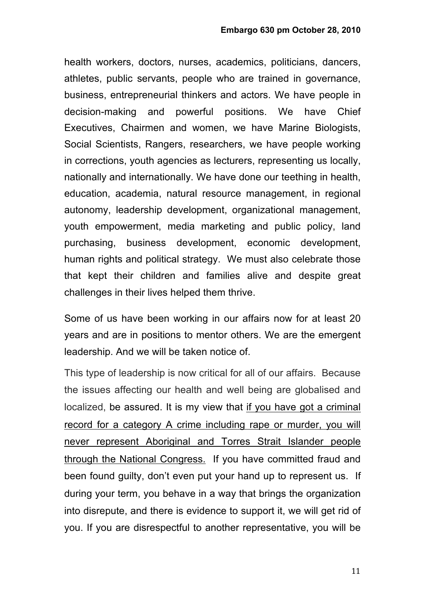health workers, doctors, nurses, academics, politicians, dancers, athletes, public servants, people who are trained in governance, business, entrepreneurial thinkers and actors. We have people in decision-making and powerful positions. We have Chief Executives, Chairmen and women, we have Marine Biologists, Social Scientists, Rangers, researchers, we have people working in corrections, youth agencies as lecturers, representing us locally, nationally and internationally. We have done our teething in health, education, academia, natural resource management, in regional autonomy, leadership development, organizational management, youth empowerment, media marketing and public policy, land purchasing, business development, economic development, human rights and political strategy. We must also celebrate those that kept their children and families alive and despite great challenges in their lives helped them thrive.

Some of us have been working in our affairs now for at least 20 years and are in positions to mentor others. We are the emergent leadership. And we will be taken notice of.

This type of leadership is now critical for all of our affairs. Because the issues affecting our health and well being are globalised and localized, be assured. It is my view that if you have got a criminal record for a category A crime including rape or murder, you will never represent Aboriginal and Torres Strait Islander people through the National Congress. If you have committed fraud and been found guilty, don't even put your hand up to represent us. If during your term, you behave in a way that brings the organization into disrepute, and there is evidence to support it, we will get rid of you. If you are disrespectful to another representative, you will be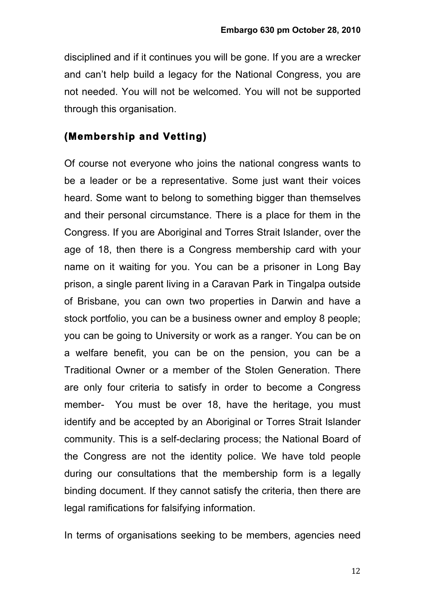disciplined and if it continues you will be gone. If you are a wrecker and can't help build a legacy for the National Congress, you are not needed. You will not be welcomed. You will not be supported through this organisation.

#### **(Membership and Vetting)**

Of course not everyone who joins the national congress wants to be a leader or be a representative. Some just want their voices heard. Some want to belong to something bigger than themselves and their personal circumstance. There is a place for them in the Congress. If you are Aboriginal and Torres Strait Islander, over the age of 18, then there is a Congress membership card with your name on it waiting for you. You can be a prisoner in Long Bay prison, a single parent living in a Caravan Park in Tingalpa outside of Brisbane, you can own two properties in Darwin and have a stock portfolio, you can be a business owner and employ 8 people; you can be going to University or work as a ranger. You can be on a welfare benefit, you can be on the pension, you can be a Traditional Owner or a member of the Stolen Generation. There are only four criteria to satisfy in order to become a Congress member- You must be over 18, have the heritage, you must identify and be accepted by an Aboriginal or Torres Strait Islander community. This is a self-declaring process; the National Board of the Congress are not the identity police. We have told people during our consultations that the membership form is a legally binding document. If they cannot satisfy the criteria, then there are legal ramifications for falsifying information.

In terms of organisations seeking to be members, agencies need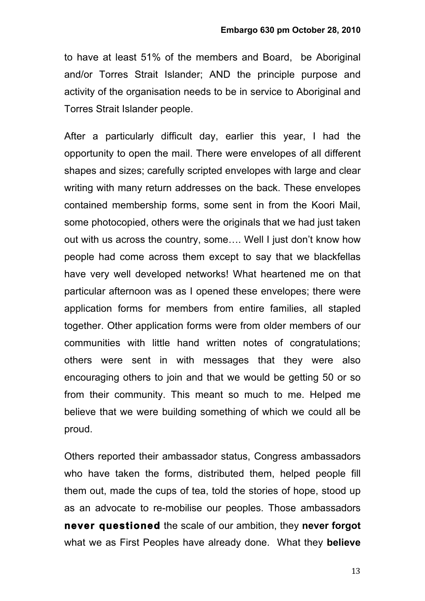to have at least 51% of the members and Board, be Aboriginal and/or Torres Strait Islander; AND the principle purpose and activity of the organisation needs to be in service to Aboriginal and Torres Strait Islander people.

After a particularly difficult day, earlier this year, I had the opportunity to open the mail. There were envelopes of all different shapes and sizes; carefully scripted envelopes with large and clear writing with many return addresses on the back. These envelopes contained membership forms, some sent in from the Koori Mail, some photocopied, others were the originals that we had just taken out with us across the country, some…. Well I just don't know how people had come across them except to say that we blackfellas have very well developed networks! What heartened me on that particular afternoon was as I opened these envelopes; there were application forms for members from entire families, all stapled together. Other application forms were from older members of our communities with little hand written notes of congratulations; others were sent in with messages that they were also encouraging others to join and that we would be getting 50 or so from their community. This meant so much to me. Helped me believe that we were building something of which we could all be proud.

Others reported their ambassador status, Congress ambassadors who have taken the forms, distributed them, helped people fill them out, made the cups of tea, told the stories of hope, stood up as an advocate to re-mobilise our peoples. Those ambassadors **never questioned** the scale of our ambition, they **never forgot** what we as First Peoples have already done. What they **believe**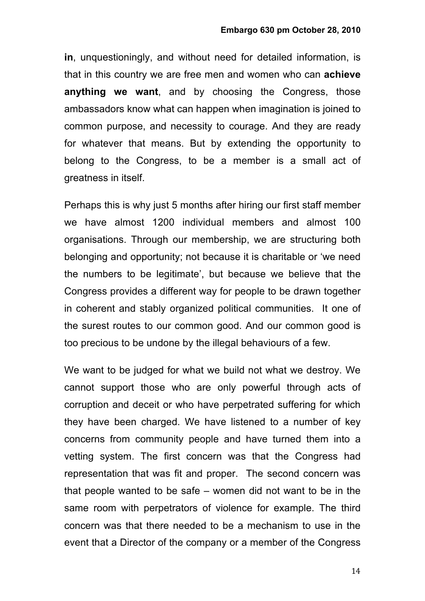**in**, unquestioningly, and without need for detailed information, is that in this country we are free men and women who can **achieve anything we want**, and by choosing the Congress, those ambassadors know what can happen when imagination is joined to common purpose, and necessity to courage. And they are ready for whatever that means. But by extending the opportunity to belong to the Congress, to be a member is a small act of greatness in itself.

Perhaps this is why just 5 months after hiring our first staff member we have almost 1200 individual members and almost 100 organisations. Through our membership, we are structuring both belonging and opportunity; not because it is charitable or 'we need the numbers to be legitimate', but because we believe that the Congress provides a different way for people to be drawn together in coherent and stably organized political communities. It one of the surest routes to our common good. And our common good is too precious to be undone by the illegal behaviours of a few.

We want to be judged for what we build not what we destroy. We cannot support those who are only powerful through acts of corruption and deceit or who have perpetrated suffering for which they have been charged. We have listened to a number of key concerns from community people and have turned them into a vetting system. The first concern was that the Congress had representation that was fit and proper. The second concern was that people wanted to be safe – women did not want to be in the same room with perpetrators of violence for example. The third concern was that there needed to be a mechanism to use in the event that a Director of the company or a member of the Congress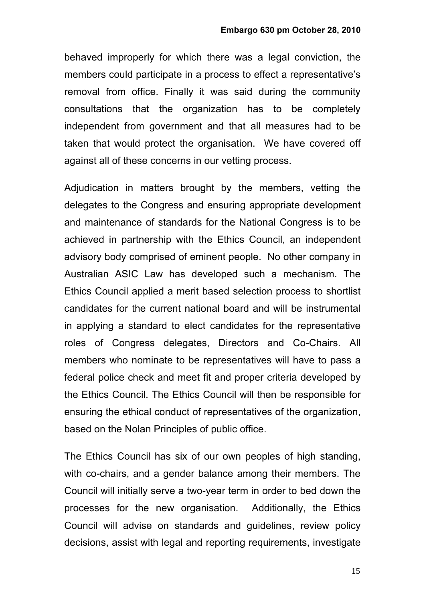behaved improperly for which there was a legal conviction, the members could participate in a process to effect a representative's removal from office. Finally it was said during the community consultations that the organization has to be completely independent from government and that all measures had to be taken that would protect the organisation. We have covered off against all of these concerns in our vetting process.

Adjudication in matters brought by the members, vetting the delegates to the Congress and ensuring appropriate development and maintenance of standards for the National Congress is to be achieved in partnership with the Ethics Council, an independent advisory body comprised of eminent people. No other company in Australian ASIC Law has developed such a mechanism. The Ethics Council applied a merit based selection process to shortlist candidates for the current national board and will be instrumental in applying a standard to elect candidates for the representative roles of Congress delegates, Directors and Co-Chairs. All members who nominate to be representatives will have to pass a federal police check and meet fit and proper criteria developed by the Ethics Council. The Ethics Council will then be responsible for ensuring the ethical conduct of representatives of the organization, based on the Nolan Principles of public office.

The Ethics Council has six of our own peoples of high standing, with co-chairs, and a gender balance among their members. The Council will initially serve a two-year term in order to bed down the processes for the new organisation. Additionally, the Ethics Council will advise on standards and guidelines, review policy decisions, assist with legal and reporting requirements, investigate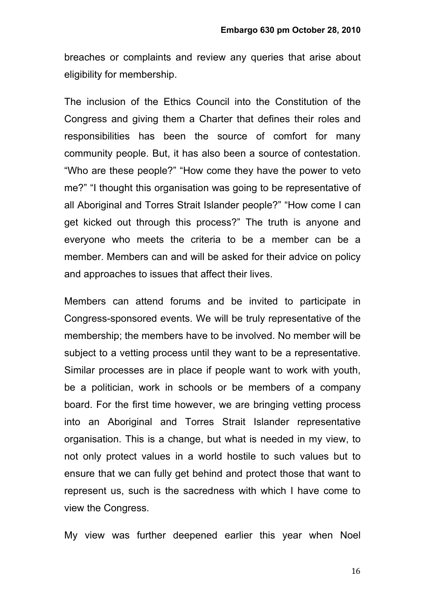breaches or complaints and review any queries that arise about eligibility for membership.

The inclusion of the Ethics Council into the Constitution of the Congress and giving them a Charter that defines their roles and responsibilities has been the source of comfort for many community people. But, it has also been a source of contestation. "Who are these people?" "How come they have the power to veto me?" "I thought this organisation was going to be representative of all Aboriginal and Torres Strait Islander people?" "How come I can get kicked out through this process?" The truth is anyone and everyone who meets the criteria to be a member can be a member. Members can and will be asked for their advice on policy and approaches to issues that affect their lives.

Members can attend forums and be invited to participate in Congress-sponsored events. We will be truly representative of the membership; the members have to be involved. No member will be subject to a vetting process until they want to be a representative. Similar processes are in place if people want to work with youth, be a politician, work in schools or be members of a company board. For the first time however, we are bringing vetting process into an Aboriginal and Torres Strait Islander representative organisation. This is a change, but what is needed in my view, to not only protect values in a world hostile to such values but to ensure that we can fully get behind and protect those that want to represent us, such is the sacredness with which I have come to view the Congress.

My view was further deepened earlier this year when Noel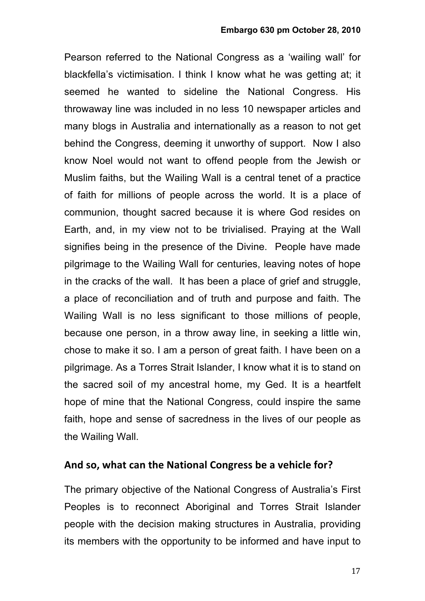Pearson referred to the National Congress as a 'wailing wall' for blackfella's victimisation. I think I know what he was getting at; it seemed he wanted to sideline the National Congress. His throwaway line was included in no less 10 newspaper articles and many blogs in Australia and internationally as a reason to not get behind the Congress, deeming it unworthy of support. Now I also know Noel would not want to offend people from the Jewish or Muslim faiths, but the Wailing Wall is a central tenet of a practice of faith for millions of people across the world. It is a place of communion, thought sacred because it is where God resides on Earth, and, in my view not to be trivialised. Praying at the Wall signifies being in the presence of the Divine. People have made pilgrimage to the Wailing Wall for centuries, leaving notes of hope in the cracks of the wall. It has been a place of grief and struggle, a place of reconciliation and of truth and purpose and faith. The Wailing Wall is no less significant to those millions of people, because one person, in a throw away line, in seeking a little win, chose to make it so. I am a person of great faith. I have been on a pilgrimage. As a Torres Strait Islander, I know what it is to stand on the sacred soil of my ancestral home, my Ged. It is a heartfelt hope of mine that the National Congress, could inspire the same faith, hope and sense of sacredness in the lives of our people as the Wailing Wall.

#### And so, what can the National Congress be a vehicle for?

The primary objective of the National Congress of Australia's First Peoples is to reconnect Aboriginal and Torres Strait Islander people with the decision making structures in Australia, providing its members with the opportunity to be informed and have input to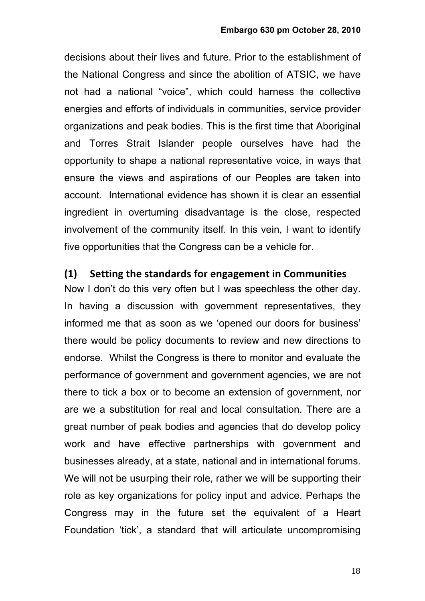decisions about their lives and future. Prior to the establishment of the National Congress and since the abolition of ATSIC, we have not had a national "voice", which could harness the collective energies and efforts of individuals in communities, service provider organizations and peak bodies. This is the first time that Aboriginal and Torres Strait Islander people ourselves have had the opportunity to shape a national representative voice, in ways that ensure the views and aspirations of our Peoples are taken into account. International evidence has shown it is clear an essential ingredient in overturning disadvantage is the close, respected involvement of the community itself. In this vein, I want to identify five opportunities that the Congress can be a vehicle for.

#### **(1)** Setting the standards for engagement in Communities

Now I don't do this very often but I was speechless the other day. In having a discussion with government representatives, they informed me that as soon as we 'opened our doors for business' there would be policy documents to review and new directions to endorse. Whilst the Congress is there to monitor and evaluate the performance of government and government agencies, we are not there to tick a box or to become an extension of government, nor are we a substitution for real and local consultation. There are a great number of peak bodies and agencies that do develop policy work and have effective partnerships with government and businesses already, at a state, national and in international forums. We will not be usurping their role, rather we will be supporting their role as key organizations for policy input and advice. Perhaps the Congress may in the future set the equivalent of a Heart Foundation 'tick', a standard that will articulate uncompromising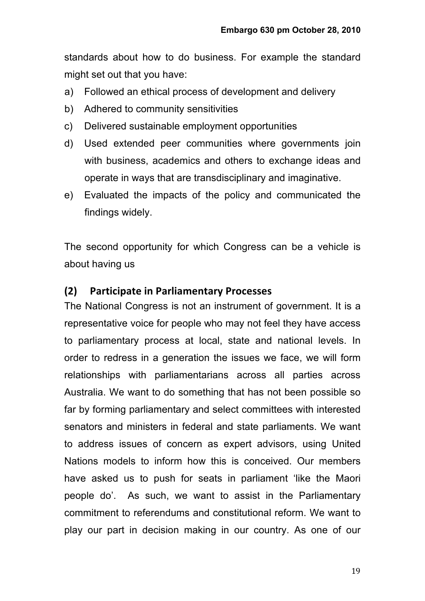standards about how to do business. For example the standard might set out that you have:

- a) Followed an ethical process of development and delivery
- b) Adhered to community sensitivities
- c) Delivered sustainable employment opportunities
- d) Used extended peer communities where governments join with business, academics and others to exchange ideas and operate in ways that are transdisciplinary and imaginative.
- e) Evaluated the impacts of the policy and communicated the findings widely.

The second opportunity for which Congress can be a vehicle is about having us

#### **(2) Participate in Parliamentary Processes**

The National Congress is not an instrument of government. It is a representative voice for people who may not feel they have access to parliamentary process at local, state and national levels. In order to redress in a generation the issues we face, we will form relationships with parliamentarians across all parties across Australia. We want to do something that has not been possible so far by forming parliamentary and select committees with interested senators and ministers in federal and state parliaments. We want to address issues of concern as expert advisors, using United Nations models to inform how this is conceived. Our members have asked us to push for seats in parliament 'like the Maori people do'. As such, we want to assist in the Parliamentary commitment to referendums and constitutional reform. We want to play our part in decision making in our country. As one of our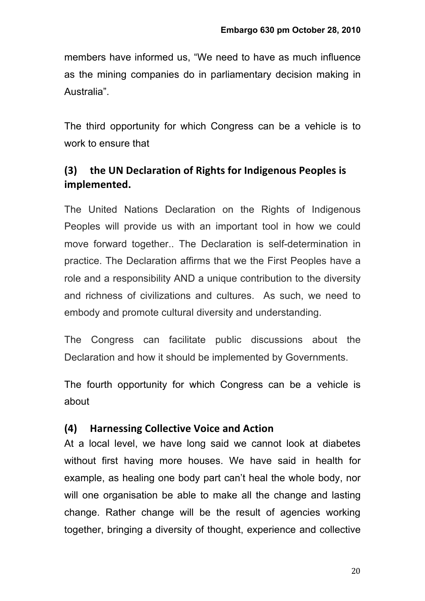members have informed us, "We need to have as much influence as the mining companies do in parliamentary decision making in Australia".

The third opportunity for which Congress can be a vehicle is to work to ensure that

### **(3) the UN Declaration of Rights for Indigenous Peoples is implemented.**

The United Nations Declaration on the Rights of Indigenous Peoples will provide us with an important tool in how we could move forward together.. The Declaration is self-determination in practice. The Declaration affirms that we the First Peoples have a role and a responsibility AND a unique contribution to the diversity and richness of civilizations and cultures. As such, we need to embody and promote cultural diversity and understanding.

The Congress can facilitate public discussions about the Declaration and how it should be implemented by Governments.

The fourth opportunity for which Congress can be a vehicle is about

### **(4) Harnessing Collective Voice and Action**

At a local level, we have long said we cannot look at diabetes without first having more houses. We have said in health for example, as healing one body part can't heal the whole body, nor will one organisation be able to make all the change and lasting change. Rather change will be the result of agencies working together, bringing a diversity of thought, experience and collective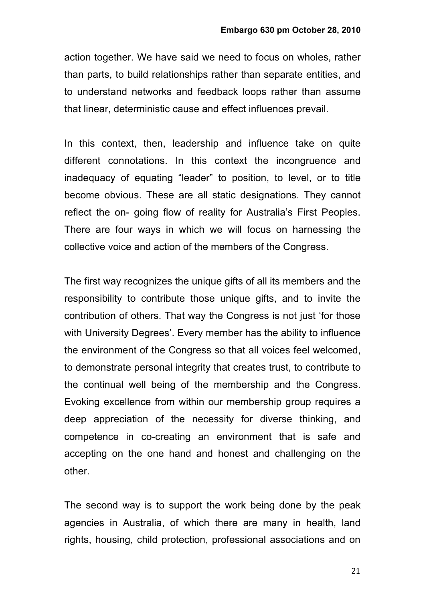action together. We have said we need to focus on wholes, rather than parts, to build relationships rather than separate entities, and to understand networks and feedback loops rather than assume that linear, deterministic cause and effect influences prevail.

In this context, then, leadership and influence take on quite different connotations. In this context the incongruence and inadequacy of equating "leader" to position, to level, or to title become obvious. These are all static designations. They cannot reflect the on- going flow of reality for Australia's First Peoples. There are four ways in which we will focus on harnessing the collective voice and action of the members of the Congress.

The first way recognizes the unique gifts of all its members and the responsibility to contribute those unique gifts, and to invite the contribution of others. That way the Congress is not just 'for those with University Degrees'. Every member has the ability to influence the environment of the Congress so that all voices feel welcomed, to demonstrate personal integrity that creates trust, to contribute to the continual well being of the membership and the Congress. Evoking excellence from within our membership group requires a deep appreciation of the necessity for diverse thinking, and competence in co-creating an environment that is safe and accepting on the one hand and honest and challenging on the other.

The second way is to support the work being done by the peak agencies in Australia, of which there are many in health, land rights, housing, child protection, professional associations and on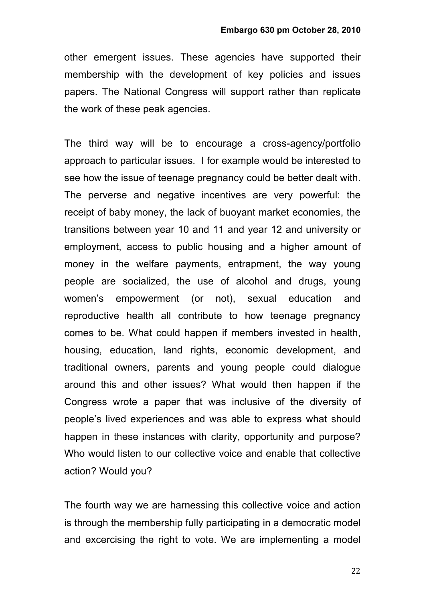other emergent issues. These agencies have supported their membership with the development of key policies and issues papers. The National Congress will support rather than replicate the work of these peak agencies.

The third way will be to encourage a cross-agency/portfolio approach to particular issues. I for example would be interested to see how the issue of teenage pregnancy could be better dealt with. The perverse and negative incentives are very powerful: the receipt of baby money, the lack of buoyant market economies, the transitions between year 10 and 11 and year 12 and university or employment, access to public housing and a higher amount of money in the welfare payments, entrapment, the way young people are socialized, the use of alcohol and drugs, young women's empowerment (or not), sexual education and reproductive health all contribute to how teenage pregnancy comes to be. What could happen if members invested in health, housing, education, land rights, economic development, and traditional owners, parents and young people could dialogue around this and other issues? What would then happen if the Congress wrote a paper that was inclusive of the diversity of people's lived experiences and was able to express what should happen in these instances with clarity, opportunity and purpose? Who would listen to our collective voice and enable that collective action? Would you?

The fourth way we are harnessing this collective voice and action is through the membership fully participating in a democratic model and excercising the right to vote. We are implementing a model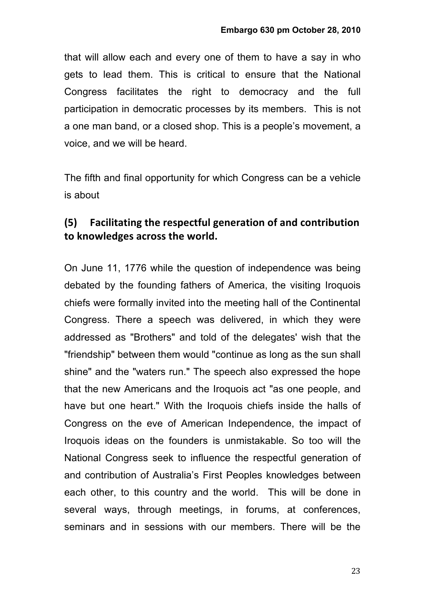that will allow each and every one of them to have a say in who gets to lead them. This is critical to ensure that the National Congress facilitates the right to democracy and the full participation in democratic processes by its members. This is not a one man band, or a closed shop. This is a people's movement, a voice, and we will be heard.

The fifth and final opportunity for which Congress can be a vehicle is about

## **(5) Facilitating the respectful generation of and contribution** to knowledges across the world.

On June 11, 1776 while the question of independence was being debated by the founding fathers of America, the visiting Iroquois chiefs were formally invited into the meeting hall of the Continental Congress. There a speech was delivered, in which they were addressed as "Brothers" and told of the delegates' wish that the "friendship" between them would "continue as long as the sun shall shine" and the "waters run." The speech also expressed the hope that the new Americans and the Iroquois act "as one people, and have but one heart." With the Iroquois chiefs inside the halls of Congress on the eve of American Independence, the impact of Iroquois ideas on the founders is unmistakable. So too will the National Congress seek to influence the respectful generation of and contribution of Australia's First Peoples knowledges between each other, to this country and the world. This will be done in several ways, through meetings, in forums, at conferences, seminars and in sessions with our members. There will be the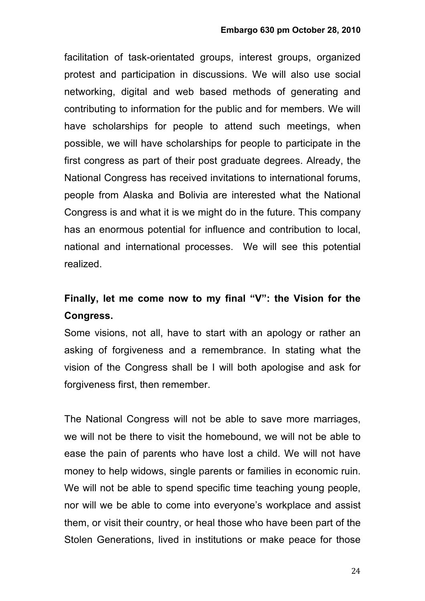facilitation of task-orientated groups, interest groups, organized protest and participation in discussions. We will also use social networking, digital and web based methods of generating and contributing to information for the public and for members. We will have scholarships for people to attend such meetings, when possible, we will have scholarships for people to participate in the first congress as part of their post graduate degrees. Already, the National Congress has received invitations to international forums, people from Alaska and Bolivia are interested what the National Congress is and what it is we might do in the future. This company has an enormous potential for influence and contribution to local, national and international processes. We will see this potential realized.

# **Finally, let me come now to my final "V": the Vision for the Congress.**

Some visions, not all, have to start with an apology or rather an asking of forgiveness and a remembrance. In stating what the vision of the Congress shall be I will both apologise and ask for forgiveness first, then remember.

The National Congress will not be able to save more marriages, we will not be there to visit the homebound, we will not be able to ease the pain of parents who have lost a child. We will not have money to help widows, single parents or families in economic ruin. We will not be able to spend specific time teaching young people. nor will we be able to come into everyone's workplace and assist them, or visit their country, or heal those who have been part of the Stolen Generations, lived in institutions or make peace for those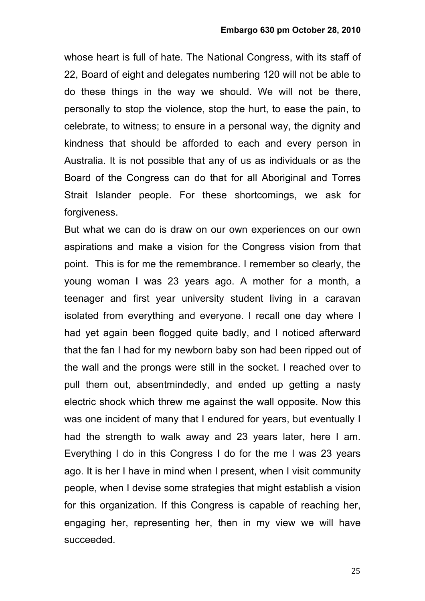whose heart is full of hate. The National Congress, with its staff of 22, Board of eight and delegates numbering 120 will not be able to do these things in the way we should. We will not be there, personally to stop the violence, stop the hurt, to ease the pain, to celebrate, to witness; to ensure in a personal way, the dignity and kindness that should be afforded to each and every person in Australia. It is not possible that any of us as individuals or as the Board of the Congress can do that for all Aboriginal and Torres Strait Islander people. For these shortcomings, we ask for forgiveness.

But what we can do is draw on our own experiences on our own aspirations and make a vision for the Congress vision from that point. This is for me the remembrance. I remember so clearly, the young woman I was 23 years ago. A mother for a month, a teenager and first year university student living in a caravan isolated from everything and everyone. I recall one day where I had yet again been flogged quite badly, and I noticed afterward that the fan I had for my newborn baby son had been ripped out of the wall and the prongs were still in the socket. I reached over to pull them out, absentmindedly, and ended up getting a nasty electric shock which threw me against the wall opposite. Now this was one incident of many that I endured for years, but eventually I had the strength to walk away and 23 years later, here I am. Everything I do in this Congress I do for the me I was 23 years ago. It is her I have in mind when I present, when I visit community people, when I devise some strategies that might establish a vision for this organization. If this Congress is capable of reaching her, engaging her, representing her, then in my view we will have succeeded.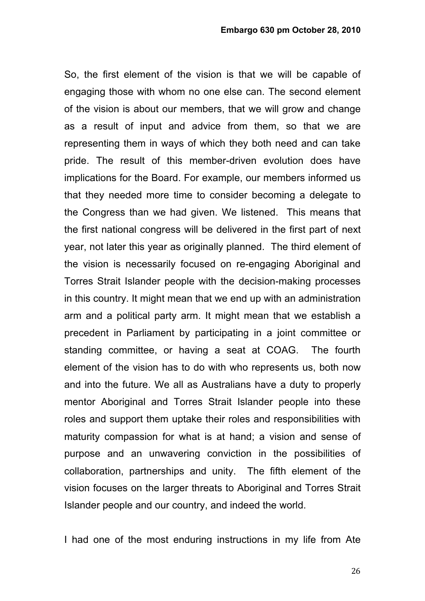So, the first element of the vision is that we will be capable of engaging those with whom no one else can. The second element of the vision is about our members, that we will grow and change as a result of input and advice from them, so that we are representing them in ways of which they both need and can take pride. The result of this member-driven evolution does have implications for the Board. For example, our members informed us that they needed more time to consider becoming a delegate to the Congress than we had given. We listened. This means that the first national congress will be delivered in the first part of next year, not later this year as originally planned. The third element of the vision is necessarily focused on re-engaging Aboriginal and Torres Strait Islander people with the decision-making processes in this country. It might mean that we end up with an administration arm and a political party arm. It might mean that we establish a precedent in Parliament by participating in a joint committee or standing committee, or having a seat at COAG. The fourth element of the vision has to do with who represents us, both now and into the future. We all as Australians have a duty to properly mentor Aboriginal and Torres Strait Islander people into these roles and support them uptake their roles and responsibilities with maturity compassion for what is at hand; a vision and sense of purpose and an unwavering conviction in the possibilities of collaboration, partnerships and unity. The fifth element of the vision focuses on the larger threats to Aboriginal and Torres Strait Islander people and our country, and indeed the world.

I had one of the most enduring instructions in my life from Ate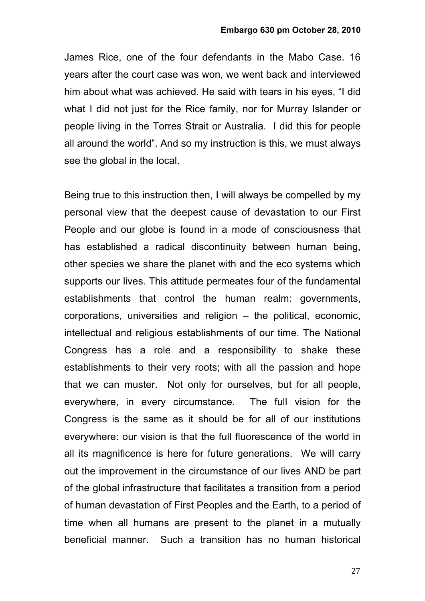James Rice, one of the four defendants in the Mabo Case. 16 years after the court case was won, we went back and interviewed him about what was achieved. He said with tears in his eyes, "I did what I did not just for the Rice family, nor for Murray Islander or people living in the Torres Strait or Australia. I did this for people all around the world". And so my instruction is this, we must always see the global in the local.

Being true to this instruction then, I will always be compelled by my personal view that the deepest cause of devastation to our First People and our globe is found in a mode of consciousness that has established a radical discontinuity between human being, other species we share the planet with and the eco systems which supports our lives. This attitude permeates four of the fundamental establishments that control the human realm: governments, corporations, universities and religion – the political, economic, intellectual and religious establishments of our time. The National Congress has a role and a responsibility to shake these establishments to their very roots; with all the passion and hope that we can muster. Not only for ourselves, but for all people, everywhere, in every circumstance. The full vision for the Congress is the same as it should be for all of our institutions everywhere: our vision is that the full fluorescence of the world in all its magnificence is here for future generations. We will carry out the improvement in the circumstance of our lives AND be part of the global infrastructure that facilitates a transition from a period of human devastation of First Peoples and the Earth, to a period of time when all humans are present to the planet in a mutually beneficial manner. Such a transition has no human historical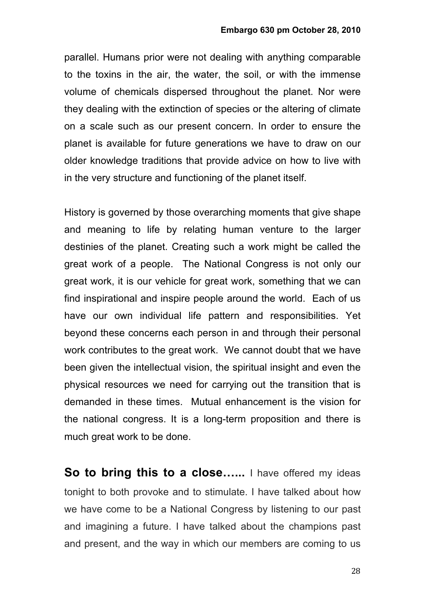parallel. Humans prior were not dealing with anything comparable to the toxins in the air, the water, the soil, or with the immense volume of chemicals dispersed throughout the planet. Nor were they dealing with the extinction of species or the altering of climate on a scale such as our present concern. In order to ensure the planet is available for future generations we have to draw on our older knowledge traditions that provide advice on how to live with in the very structure and functioning of the planet itself.

History is governed by those overarching moments that give shape and meaning to life by relating human venture to the larger destinies of the planet. Creating such a work might be called the great work of a people. The National Congress is not only our great work, it is our vehicle for great work, something that we can find inspirational and inspire people around the world. Each of us have our own individual life pattern and responsibilities. Yet beyond these concerns each person in and through their personal work contributes to the great work. We cannot doubt that we have been given the intellectual vision, the spiritual insight and even the physical resources we need for carrying out the transition that is demanded in these times. Mutual enhancement is the vision for the national congress. It is a long-term proposition and there is much great work to be done.

**So to bring this to a close......** I have offered my ideas tonight to both provoke and to stimulate. I have talked about how we have come to be a National Congress by listening to our past and imagining a future. I have talked about the champions past and present, and the way in which our members are coming to us